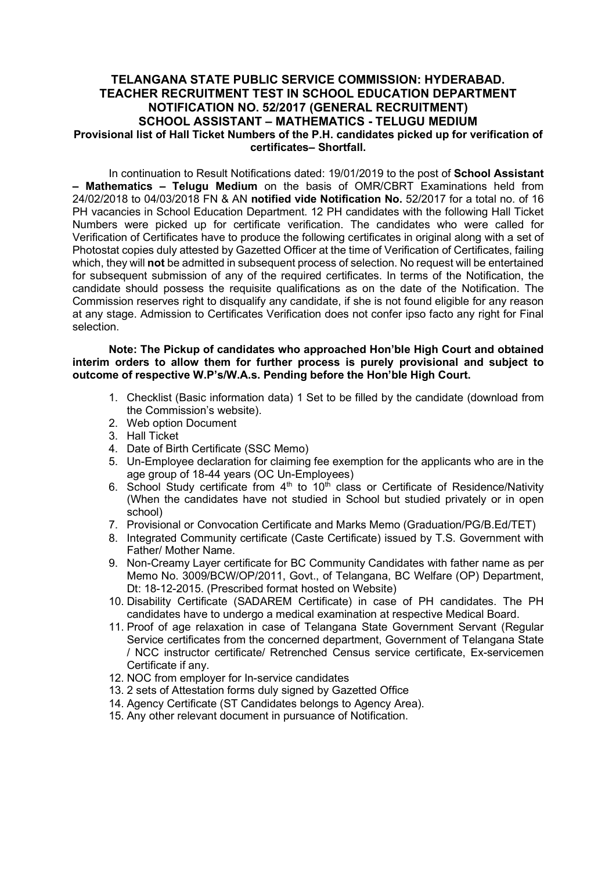## TELANGANA STATE PUBLIC SERVICE COMMISSION: HYDERABAD. TEACHER RECRUITMENT TEST IN SCHOOL EDUCATION DEPARTMENT NOTIFICATION NO. 52/2017 (GENERAL RECRUITMENT) SCHOOL ASSISTANT – MATHEMATICS - TELUGU MEDIUM Provisional list of Hall Ticket Numbers of the P.H. candidates picked up for verification of certificates– Shortfall.

In continuation to Result Notifications dated: 19/01/2019 to the post of School Assistant – Mathematics – Telugu Medium on the basis of OMR/CBRT Examinations held from 24/02/2018 to 04/03/2018 FN & AN notified vide Notification No. 52/2017 for a total no. of 16 PH vacancies in School Education Department. 12 PH candidates with the following Hall Ticket Numbers were picked up for certificate verification. The candidates who were called for Verification of Certificates have to produce the following certificates in original along with a set of Photostat copies duly attested by Gazetted Officer at the time of Verification of Certificates, failing which, they will not be admitted in subsequent process of selection. No request will be entertained for subsequent submission of any of the required certificates. In terms of the Notification, the candidate should possess the requisite qualifications as on the date of the Notification. The Commission reserves right to disqualify any candidate, if she is not found eligible for any reason at any stage. Admission to Certificates Verification does not confer ipso facto any right for Final selection.

Note: The Pickup of candidates who approached Hon'ble High Court and obtained interim orders to allow them for further process is purely provisional and subject to outcome of respective W.P's/W.A.s. Pending before the Hon'ble High Court.

- 1. Checklist (Basic information data) 1 Set to be filled by the candidate (download from the Commission's website).
- 2. Web option Document
- 3. Hall Ticket
- 4. Date of Birth Certificate (SSC Memo)
- 5. Un-Employee declaration for claiming fee exemption for the applicants who are in the age group of 18-44 years (OC Un-Employees)
- 6. School Study certificate from  $4<sup>th</sup>$  to  $10<sup>th</sup>$  class or Certificate of Residence/Nativity (When the candidates have not studied in School but studied privately or in open school)
- 7. Provisional or Convocation Certificate and Marks Memo (Graduation/PG/B.Ed/TET)
- 8. Integrated Community certificate (Caste Certificate) issued by T.S. Government with Father/ Mother Name.
- 9. Non-Creamy Layer certificate for BC Community Candidates with father name as per Memo No. 3009/BCW/OP/2011, Govt., of Telangana, BC Welfare (OP) Department, Dt: 18-12-2015. (Prescribed format hosted on Website)
- 10. Disability Certificate (SADAREM Certificate) in case of PH candidates. The PH candidates have to undergo a medical examination at respective Medical Board.
- 11. Proof of age relaxation in case of Telangana State Government Servant (Regular Service certificates from the concerned department, Government of Telangana State / NCC instructor certificate/ Retrenched Census service certificate, Ex-servicemen Certificate if any.
- 12. NOC from employer for In-service candidates
- 13. 2 sets of Attestation forms duly signed by Gazetted Office
- 14. Agency Certificate (ST Candidates belongs to Agency Area).
- 15. Any other relevant document in pursuance of Notification.